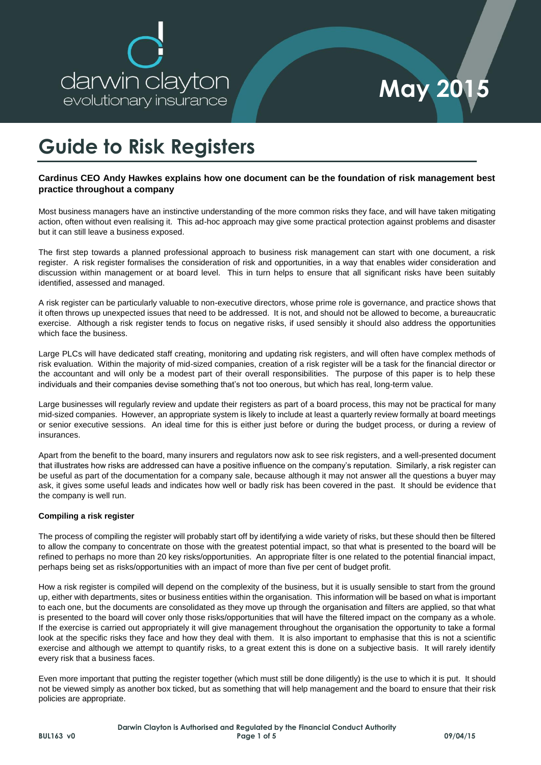

### **Guide to Risk Registers**

#### **Cardinus CEO Andy Hawkes explains how one document can be the foundation of risk management best practice throughout a company**

Most business managers have an instinctive understanding of the more common risks they face, and will have taken mitigating action, often without even realising it. This ad-hoc approach may give some practical protection against problems and disaster but it can still leave a business exposed.

The first step towards a planned professional approach to business risk management can start with one document, a risk register. A risk register formalises the consideration of risk and opportunities, in a way that enables wider consideration and discussion within management or at board level. This in turn helps to ensure that all significant risks have been suitably identified, assessed and managed.

A risk register can be particularly valuable to non-executive directors, whose prime role is governance, and practice shows that it often throws up unexpected issues that need to be addressed. It is not, and should not be allowed to become, a bureaucratic exercise. Although a risk register tends to focus on negative risks, if used sensibly it should also address the opportunities which face the business.

Large PLCs will have dedicated staff creating, monitoring and updating risk registers, and will often have complex methods of risk evaluation. Within the majority of mid-sized companies, creation of a risk register will be a task for the financial director or the accountant and will only be a modest part of their overall responsibilities. The purpose of this paper is to help these individuals and their companies devise something that's not too onerous, but which has real, long-term value.

Large businesses will regularly review and update their registers as part of a board process, this may not be practical for many mid-sized companies. However, an appropriate system is likely to include at least a quarterly review formally at board meetings or senior executive sessions. An ideal time for this is either just before or during the budget process, or during a review of insurances.

Apart from the benefit to the board, many insurers and regulators now ask to see risk registers, and a well-presented document that illustrates how risks are addressed can have a positive influence on the company's reputation. Similarly, a risk register can be useful as part of the documentation for a company sale, because although it may not answer all the questions a buyer may ask, it gives some useful leads and indicates how well or badly risk has been covered in the past. It should be evidence that the company is well run.

#### **Compiling a risk register**

The process of compiling the register will probably start off by identifying a wide variety of risks, but these should then be filtered to allow the company to concentrate on those with the greatest potential impact, so that what is presented to the board will be refined to perhaps no more than 20 key risks/opportunities. An appropriate filter is one related to the potential financial impact, perhaps being set as risks/opportunities with an impact of more than five per cent of budget profit.

How a risk register is compiled will depend on the complexity of the business, but it is usually sensible to start from the ground up, either with departments, sites or business entities within the organisation. This information will be based on what is important to each one, but the documents are consolidated as they move up through the organisation and filters are applied, so that what is presented to the board will cover only those risks/opportunities that will have the filtered impact on the company as a whole. If the exercise is carried out appropriately it will give management throughout the organisation the opportunity to take a formal look at the specific risks they face and how they deal with them. It is also important to emphasise that this is not a scientific exercise and although we attempt to quantify risks, to a great extent this is done on a subjective basis. It will rarely identify every risk that a business faces.

Even more important that putting the register together (which must still be done diligently) is the use to which it is put. It should not be viewed simply as another box ticked, but as something that will help management and the board to ensure that their risk policies are appropriate.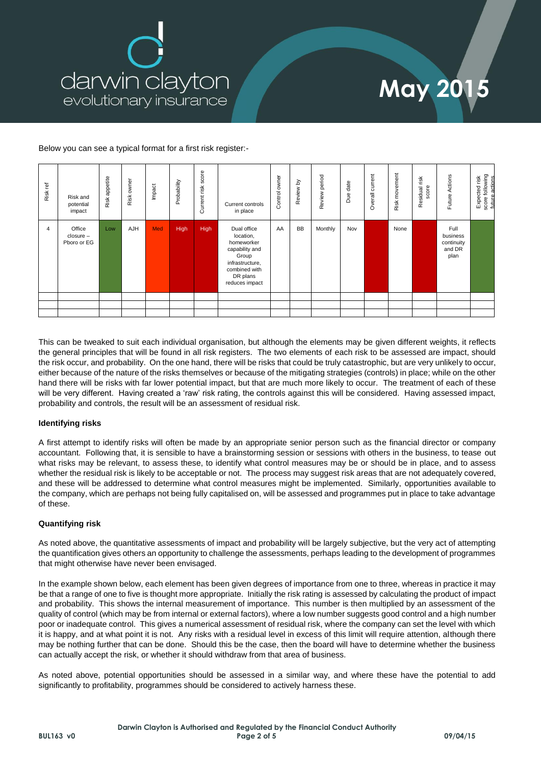

## **May 2015**

Below you can see a typical format for a first risk register:-

| Risk ref | Risk and<br>potential<br>impact    | Risk appetite | owner<br>Risk | Impact | Probability | score<br>Current risk | Current controls<br>in place                                                                                                        | owner<br>Control | Review by | Review period | date<br>Due | Overall current | Risk movement | Residual risk<br>score | Actions<br>Future.                               | score following<br>future actions<br>Expected risk |
|----------|------------------------------------|---------------|---------------|--------|-------------|-----------------------|-------------------------------------------------------------------------------------------------------------------------------------|------------------|-----------|---------------|-------------|-----------------|---------------|------------------------|--------------------------------------------------|----------------------------------------------------|
| 4        | Office<br>closure -<br>Pboro or EG | Low           | AJH           | Med    | <b>High</b> | High                  | Dual office<br>location,<br>homeworker<br>capability and<br>Group<br>infrastructure,<br>combined with<br>DR plans<br>reduces impact | AA               | <b>BB</b> | Monthly       | Nov         |                 | None          |                        | Full<br>business<br>continuity<br>and DR<br>plan |                                                    |
|          |                                    |               |               |        |             |                       |                                                                                                                                     |                  |           |               |             |                 |               |                        |                                                  |                                                    |
|          |                                    |               |               |        |             |                       |                                                                                                                                     |                  |           |               |             |                 |               |                        |                                                  |                                                    |
|          |                                    |               |               |        |             |                       |                                                                                                                                     |                  |           |               |             |                 |               |                        |                                                  |                                                    |

This can be tweaked to suit each individual organisation, but although the elements may be given different weights, it reflects the general principles that will be found in all risk registers. The two elements of each risk to be assessed are impact, should the risk occur, and probability. On the one hand, there will be risks that could be truly catastrophic, but are very unlikely to occur, either because of the nature of the risks themselves or because of the mitigating strategies (controls) in place; while on the other hand there will be risks with far lower potential impact, but that are much more likely to occur. The treatment of each of these will be very different. Having created a 'raw' risk rating, the controls against this will be considered. Having assessed impact, probability and controls, the result will be an assessment of residual risk.

#### **Identifying risks**

A first attempt to identify risks will often be made by an appropriate senior person such as the financial director or company accountant. Following that, it is sensible to have a brainstorming session or sessions with others in the business, to tease out what risks may be relevant, to assess these, to identify what control measures may be or should be in place, and to assess whether the residual risk is likely to be acceptable or not. The process may suggest risk areas that are not adequately covered, and these will be addressed to determine what control measures might be implemented. Similarly, opportunities available to the company, which are perhaps not being fully capitalised on, will be assessed and programmes put in place to take advantage of these.

#### **Quantifying risk**

As noted above, the quantitative assessments of impact and probability will be largely subjective, but the very act of attempting the quantification gives others an opportunity to challenge the assessments, perhaps leading to the development of programmes that might otherwise have never been envisaged.

In the example shown below, each element has been given degrees of importance from one to three, whereas in practice it may be that a range of one to five is thought more appropriate. Initially the risk rating is assessed by calculating the product of impact and probability. This shows the internal measurement of importance. This number is then multiplied by an assessment of the quality of control (which may be from internal or external factors), where a low number suggests good control and a high number poor or inadequate control. This gives a numerical assessment of residual risk, where the company can set the level with which it is happy, and at what point it is not. Any risks with a residual level in excess of this limit will require attention, although there may be nothing further that can be done. Should this be the case, then the board will have to determine whether the business can actually accept the risk, or whether it should withdraw from that area of business.

As noted above, potential opportunities should be assessed in a similar way, and where these have the potential to add significantly to profitability, programmes should be considered to actively harness these.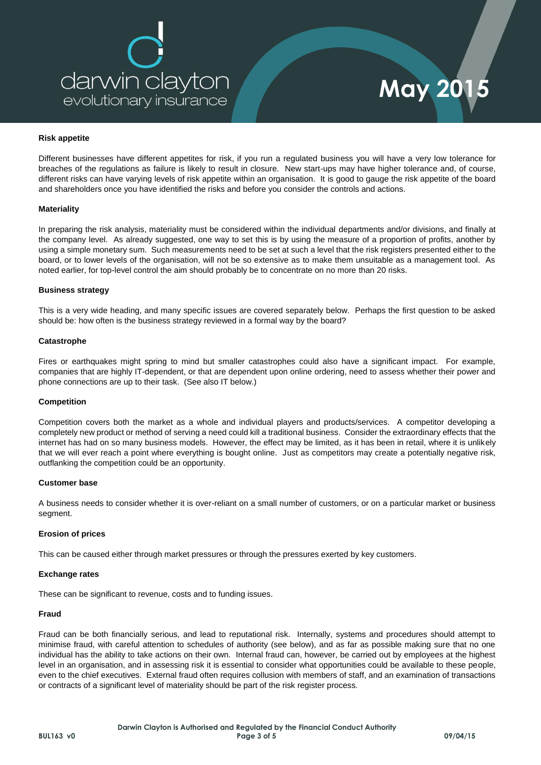

# **May 2015**

#### **Risk appetite**

Different businesses have different appetites for risk, if you run a regulated business you will have a very low tolerance for breaches of the regulations as failure is likely to result in closure. New start-ups may have higher tolerance and, of course, different risks can have varying levels of risk appetite within an organisation. It is good to gauge the risk appetite of the board and shareholders once you have identified the risks and before you consider the controls and actions.

#### **Materiality**

In preparing the risk analysis, materiality must be considered within the individual departments and/or divisions, and finally at the company level. As already suggested, one way to set this is by using the measure of a proportion of profits, another by using a simple monetary sum. Such measurements need to be set at such a level that the risk registers presented either to the board, or to lower levels of the organisation, will not be so extensive as to make them unsuitable as a management tool. As noted earlier, for top-level control the aim should probably be to concentrate on no more than 20 risks.

#### **Business strategy**

This is a very wide heading, and many specific issues are covered separately below. Perhaps the first question to be asked should be: how often is the business strategy reviewed in a formal way by the board?

#### **Catastrophe**

Fires or earthquakes might spring to mind but smaller catastrophes could also have a significant impact. For example, companies that are highly IT-dependent, or that are dependent upon online ordering, need to assess whether their power and phone connections are up to their task. (See also IT below.)

#### **Competition**

Competition covers both the market as a whole and individual players and products/services. A competitor developing a completely new product or method of serving a need could kill a traditional business. Consider the extraordinary effects that the internet has had on so many business models. However, the effect may be limited, as it has been in retail, where it is unlikely that we will ever reach a point where everything is bought online. Just as competitors may create a potentially negative risk, outflanking the competition could be an opportunity.

#### **Customer base**

A business needs to consider whether it is over-reliant on a small number of customers, or on a particular market or business segment.

#### **Erosion of prices**

This can be caused either through market pressures or through the pressures exerted by key customers.

#### **Exchange rates**

These can be significant to revenue, costs and to funding issues.

#### **Fraud**

Fraud can be both financially serious, and lead to reputational risk. Internally, systems and procedures should attempt to minimise fraud, with careful attention to schedules of authority (see below), and as far as possible making sure that no one individual has the ability to take actions on their own. Internal fraud can, however, be carried out by employees at the highest level in an organisation, and in assessing risk it is essential to consider what opportunities could be available to these people, even to the chief executives. External fraud often requires collusion with members of staff, and an examination of transactions or contracts of a significant level of materiality should be part of the risk register process.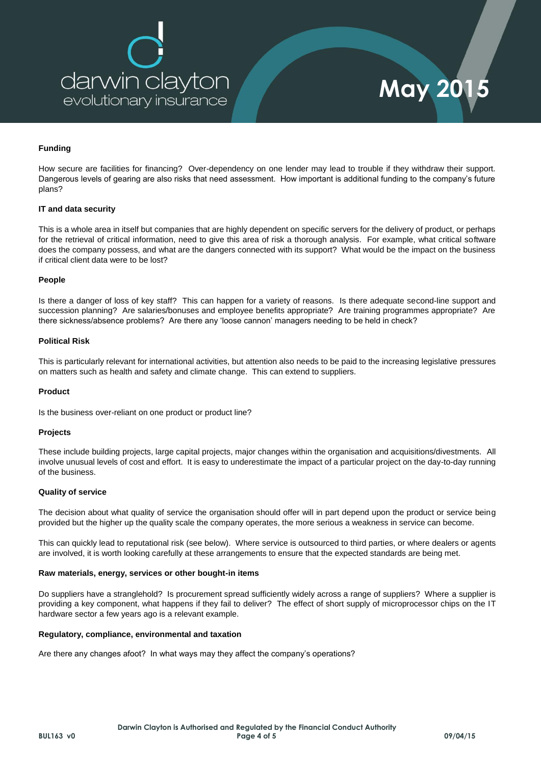

#### **Funding**

How secure are facilities for financing? Over-dependency on one lender may lead to trouble if they withdraw their support. Dangerous levels of gearing are also risks that need assessment. How important is additional funding to the company's future plans?

#### **IT and data security**

This is a whole area in itself but companies that are highly dependent on specific servers for the delivery of product, or perhaps for the retrieval of critical information, need to give this area of risk a thorough analysis. For example, what critical software does the company possess, and what are the dangers connected with its support? What would be the impact on the business if critical client data were to be lost?

#### **People**

Is there a danger of loss of key staff? This can happen for a variety of reasons. Is there adequate second-line support and succession planning? Are salaries/bonuses and employee benefits appropriate? Are training programmes appropriate? Are there sickness/absence problems? Are there any 'loose cannon' managers needing to be held in check?

#### **Political Risk**

This is particularly relevant for international activities, but attention also needs to be paid to the increasing legislative pressures on matters such as health and safety and climate change. This can extend to suppliers.

#### **Product**

Is the business over-reliant on one product or product line?

#### **Projects**

These include building projects, large capital projects, major changes within the organisation and acquisitions/divestments. All involve unusual levels of cost and effort. It is easy to underestimate the impact of a particular project on the day-to-day running of the business.

#### **Quality of service**

The decision about what quality of service the organisation should offer will in part depend upon the product or service being provided but the higher up the quality scale the company operates, the more serious a weakness in service can become.

This can quickly lead to reputational risk (see below). Where service is outsourced to third parties, or where dealers or agents are involved, it is worth looking carefully at these arrangements to ensure that the expected standards are being met.

#### **Raw materials, energy, services or other bought-in items**

Do suppliers have a stranglehold? Is procurement spread sufficiently widely across a range of suppliers? Where a supplier is providing a key component, what happens if they fail to deliver? The effect of short supply of microprocessor chips on the IT hardware sector a few years ago is a relevant example.

#### **Regulatory, compliance, environmental and taxation**

Are there any changes afoot? In what ways may they affect the company's operations?